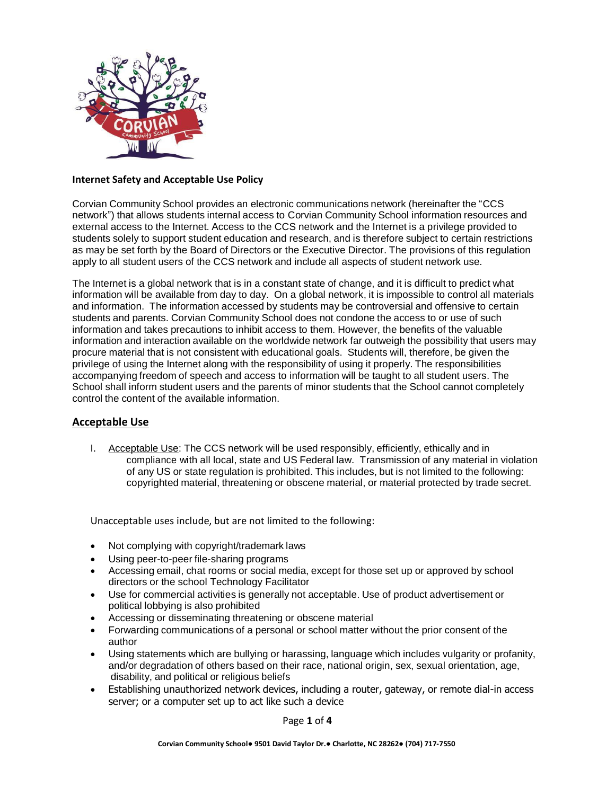

## **Internet Safety and Acceptable Use Policy**

Corvian Community School provides an electronic communications network (hereinafter the "CCS network") that allows students internal access to Corvian Community School information resources and external access to the Internet. Access to the CCS network and the Internet is a privilege provided to students solely to support student education and research, and is therefore subject to certain restrictions as may be set forth by the Board of Directors or the Executive Director. The provisions of this regulation apply to all student users of the CCS network and include all aspects of student network use.

The Internet is a global network that is in a constant state of change, and it is difficult to predict what information will be available from day to day. On a global network, it is impossible to control all materials and information. The information accessed by students may be controversial and offensive to certain students and parents. Corvian Community School does not condone the access to or use of such information and takes precautions to inhibit access to them. However, the benefits of the valuable information and interaction available on the worldwide network far outweigh the possibility that users may procure material that is not consistent with educational goals. Students will, therefore, be given the privilege of using the Internet along with the responsibilityof using it properly. The responsibilities accompanying freedom of speech and access to information will be taught to all student users. The School shall inform student users and the parents of minor students that the School cannot completely control the content of the available information.

## **Acceptable Use**

I. Acceptable Use: The CCS network will be used responsibly, efficiently, ethically and in compliance with all local, state and US Federal law. Transmissionof any material in violation of any US or state regulation is prohibited. This includes, but is not limited to the following: copyrighted material, threatening or obscene material, or material protected by trade secret.

Unacceptable uses include, but are not limited to the following:

- Not complying with copyright/trademark laws
- Using peer-to-peer file-sharing programs
- Accessing email, chat rooms or social media, except for those set up or approved by school directors or the school Technology Facilitator
- Use for commercial activities is generally not acceptable. Use of product advertisement or political lobbying is also prohibited
- Accessing or disseminating threatening or obscene material
- Forwarding communications of a personal or school matter without the prior consent of the author
- Using statements which are bullying or harassing, language which includes vulgarity or profanity, and/or degradation of others based on their race, national origin, sex, sexual orientation, age, disability, and political or religious beliefs
- Establishing unauthorized network devices, including a router, gateway, or remote dial-in access server; or a computer set up to act like such a device

Page **1** of **4**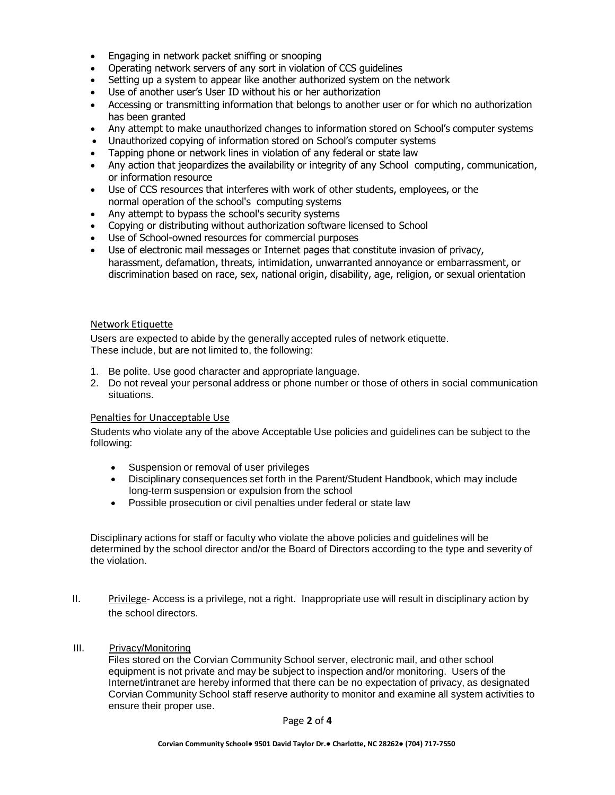- Engaging in network packet sniffing or snooping
- Operating network servers of any sort in violation of CCS guidelines
- Setting up a system to appear like another authorized system on the network
- Use of another user's User ID without his or her authorization
- Accessing or transmitting information that belongs to another user or for which no authorization has been granted
- Any attempt to make unauthorized changes to information stored on School's computer systems
- Unauthorized copying of information stored on School's computer systems
- Tapping phone or network lines in violation of any federal or state law
- Any action that jeopardizes the availability or integrity of any School computing, communication, or information resource
- Use of CCS resources that interferes with work of other students, employees, or the normal operation of the school's computing systems
- Any attempt to bypass the school's security systems
- Copying or distributing without authorization software licensed to School
- Use of School-owned resources for commercial purposes
- Use of electronic mail messages or Internet pages that constitute invasion of privacy, harassment, defamation, threats, intimidation, unwarranted annoyance or embarrassment, or discrimination based on race, sex, national origin, disability, age, religion, or sexual orientation

### Network Etiquette

Users are expected to abide by the generallyaccepted rules of network etiquette. These include, but are not limited to, the following:

- 1. Be polite. Use good character and appropriatelanguage.
- 2. Do not reveal your personal address or phone number or those of others in social communication situations.

## Penalties for Unacceptable Use

Students who violate any of the above Acceptable Use policies and guidelines can be subject to the following:

- Suspension or removal of user privileges
- Disciplinary consequences set forth in the Parent/Student Handbook, which may include long-term suspension or expulsion from the school
- Possible prosecution or civil penalties under federal or state law

Disciplinary actions for staff or faculty who violate the above policies and guidelines will be determined by the school director and/or the Board of Directors according to the type and severity of the violation.

II. Privilege- Access is a privilege, not a right. Inappropriate use will result in disciplinary action by the school directors.

## III. Privacy/Monitoring

Files stored on the Corvian Community School server, electronic mail, and other school equipment is not private and may be subject to inspection and/or monitoring. Users of the Internet/intranet are hereby informed that there can be no expectation of privacy, as designated Corvian Community School staff reserve authority to monitor and examine all system activities to ensure their proper use.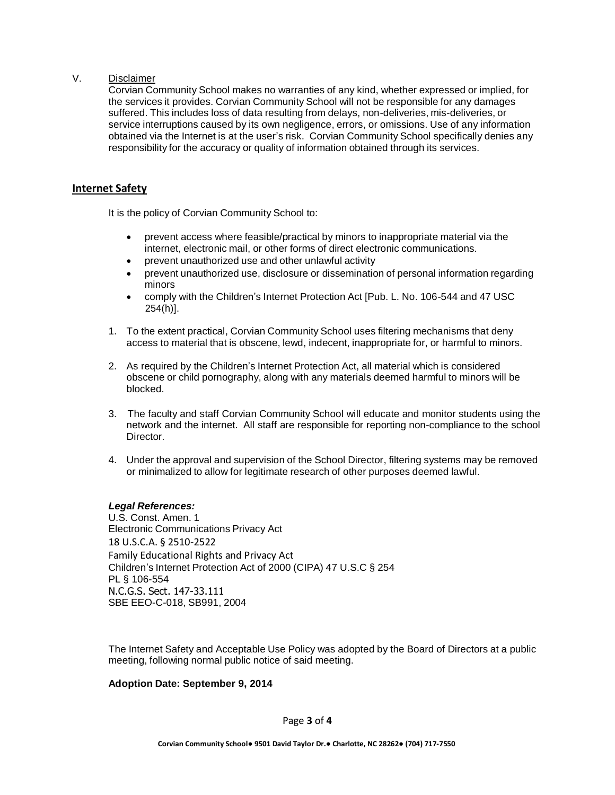## V. Disclaimer

Corvian Community School makes no warranties of any kind, whether expressed or implied, for the services it provides. Corvian Community School will not be responsible for any damages suffered. This includes loss of data resulting from delays, non-deliveries, mis-deliveries, or service interruptions caused by its own negligence, errors, or omissions. Use of any information obtained via the Internet is at the user's risk. Corvian Community School specifically denies any responsibility for the accuracy or quality of information obtained through its services.

## **Internet Safety**

It is the policy of Corvian Community School to:

- prevent access where feasible/practical by minors to inappropriate material via the internet, electronic mail, or other forms of direct electronic communications.
- prevent unauthorized use and other unlawful activity
- prevent unauthorized use, disclosure or dissemination of personal information regarding minors
- comply with the Children's Internet Protection Act [Pub. L. No. 106-544 and 47 USC 254(h)].
- 1. To the extent practical, Corvian Community School uses filtering mechanisms that deny access to material that is obscene, lewd, indecent, inappropriate for, or harmful to minors.
- 2. As required by the Children's Internet Protection Act, all material which is considered obscene or child pornography, along with any materials deemed harmful to minors will be blocked.
- 3. The faculty and staff Corvian Community School will educate and monitor students using the network and the internet. All staff are responsible for reporting non-compliance to the school Director.
- 4. Under the approval and supervision of the School Director, filtering systems may be removed or minimalized to allow for legitimate research of other purposes deemed lawful.

### *Legal References:*

U.S. Const. Amen. 1 Electronic Communications Privacy Act 18 U.S.C.A. § 2510-2522 Family Educational Rights and Privacy Act Children's Internet Protection Act of 2000 (CIPA) 47 U.S.C § 254 PL § 106-554 N.C.G.S. Sect. 147-33.111 SBE EEO-C-018, SB991, 2004

The Internet Safety and Acceptable Use Policy was adopted by the Board of Directors at a public meeting, following normal public notice of said meeting.

### **Adoption Date: September 9, 2014**